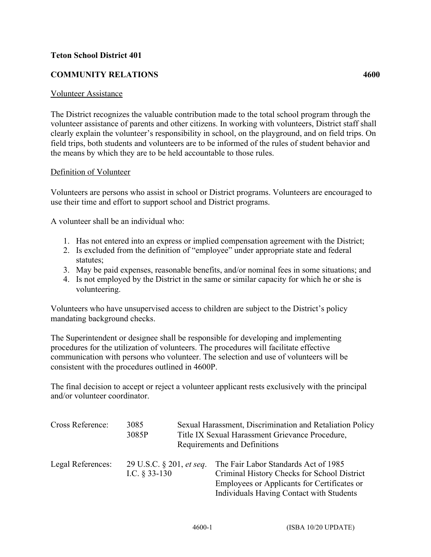## **Teton School District 401**

## **COMMUNITY RELATIONS 4600**

## Volunteer Assistance

The District recognizes the valuable contribution made to the total school program through the volunteer assistance of parents and other citizens. In working with volunteers, District staff shall clearly explain the volunteer's responsibility in school, on the playground, and on field trips. On field trips, both students and volunteers are to be informed of the rules of student behavior and the means by which they are to be held accountable to those rules.

## Definition of Volunteer

Volunteers are persons who assist in school or District programs. Volunteers are encouraged to use their time and effort to support school and District programs.

A volunteer shall be an individual who:

- 1. Has not entered into an express or implied compensation agreement with the District;
- 2. Is excluded from the definition of "employee" under appropriate state and federal statutes;
- 3. May be paid expenses, reasonable benefits, and/or nominal fees in some situations; and
- 4. Is not employed by the District in the same or similar capacity for which he or she is volunteering.

Volunteers who have unsupervised access to children are subject to the District's policy mandating background checks.

The Superintendent or designee shall be responsible for developing and implementing procedures for the utilization of volunteers. The procedures will facilitate effective communication with persons who volunteer. The selection and use of volunteers will be consistent with the procedures outlined in 4600P.

The final decision to accept or reject a volunteer applicant rests exclusively with the principal and/or volunteer coordinator.

| Cross Reference:  | 3085<br>3085P                               | Sexual Harassment, Discrimination and Retaliation Policy<br>Title IX Sexual Harassment Grievance Procedure,<br>Requirements and Definitions                                    |
|-------------------|---------------------------------------------|--------------------------------------------------------------------------------------------------------------------------------------------------------------------------------|
| Legal References: | 29 U.S.C. § 201, et seq.<br>I.C. $§$ 33-130 | The Fair Labor Standards Act of 1985<br>Criminal History Checks for School District<br>Employees or Applicants for Certificates or<br>Individuals Having Contact with Students |